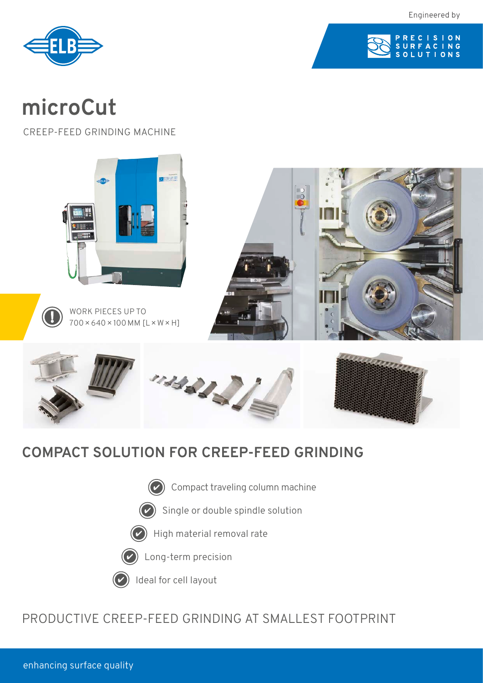Engineered by





# **microCut**

CREEP-FEED GRINDING MACHINE



## **COMPACT SOLUTION FOR CREEP-FEED GRINDING**

- Compact traveling column machine
- Single or double spindle solution  $(\checkmark$







(✓

### PRODUCTIVE CREEP-FEED GRINDING AT SMALLEST FOOTPRINT

enhancing surface quality